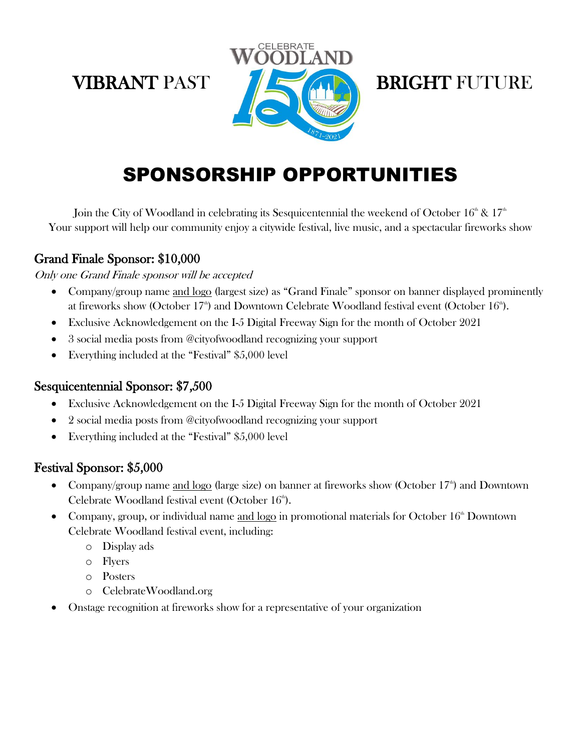

# VIBRANT PAST **BRIGHT** FUTURE

# SPONSORSHIP OPPORTUNITIES

Join the City of Woodland in celebrating its Sesquicentennial the weekend of October  $16<sup>th</sup>$  &  $17<sup>th</sup>$ Your support will help our community enjoy a citywide festival, live music, and a spectacular fireworks show

#### Grand Finale Sponsor: \$10,000

#### Only one Grand Finale sponsor will be accepted

- Company/group name and logo (largest size) as "Grand Finale" sponsor on banner displayed prominently at fireworks show (October 17<sup>th</sup>) and Downtown Celebrate Woodland festival event (October 16<sup>th</sup>).
- Exclusive Acknowledgement on the I-5 Digital Freeway Sign for the month of October 2021
- 3 social media posts from @cityofwoodland recognizing your support
- Everything included at the "Festival" \$5,000 level

#### Sesquicentennial Sponsor: \$7,500

- Exclusive Acknowledgement on the I-5 Digital Freeway Sign for the month of October 2021
- 2 social media posts from @cityofwoodland recognizing your support
- Everything included at the "Festival" \$5,000 level

#### Festival Sponsor: \$5,000

- Company/group name and logo (large size) on banner at fireworks show (October  $17<sup>th</sup>$ ) and Downtown Celebrate Woodland festival event (October  $16<sup>th</sup>$ ).
- Company, group, or individual name and logo in promotional materials for October  $16<sup>th</sup>$  Downtown Celebrate Woodland festival event, including:
	- o Display ads
	- o Flyers
	- o Posters
	- o CelebrateWoodland.org
- Onstage recognition at fireworks show for a representative of your organization